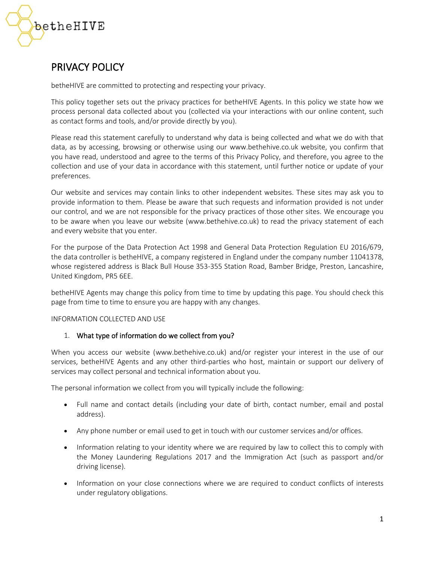

# PRIVACY POLICY

betheHIVE are committed to protecting and respecting your privacy.

This policy together sets out the privacy practices for betheHIVE Agents. In this policy we state how we process personal data collected about you (collected via your interactions with our online content, such as contact forms and tools, and/or provide directly by you).

Please read this statement carefully to understand why data is being collected and what we do with that data, as by accessing, browsing or otherwise using our www.bethehive.co.uk website, you confirm that you have read, understood and agree to the terms of this Privacy Policy, and therefore, you agree to the collection and use of your data in accordance with this statement, until further notice or update of your preferences.

Our website and services may contain links to other independent websites. These sites may ask you to provide information to them. Please be aware that such requests and information provided is not under our control, and we are not responsible for the privacy practices of those other sites. We encourage you to be aware when you leave our website (www.bethehive.co.uk) to read the privacy statement of each and every website that you enter.

For the purpose of the Data Protection Act 1998 and General Data Protection Regulation EU 2016/679, the data controller is betheHIVE, a company registered in England under the company number 11041378, whose registered address is Black Bull House 353-355 Station Road, Bamber Bridge, Preston, Lancashire, United Kingdom, PR5 6EE.

betheHIVE Agents may change this policy from time to time by updating this page. You should check this page from time to time to ensure you are happy with any changes.

#### INFORMATION COLLECTED AND USE

# 1. What type of information do we collect from you?

When you access our website (www.bethehive.co.uk) and/or register your interest in the use of our services, betheHIVE Agents and any other third-parties who host, maintain or support our delivery of services may collect personal and technical information about you.

The personal information we collect from you will typically include the following:

- Full name and contact details (including your date of birth, contact number, email and postal address).
- Any phone number or email used to get in touch with our customer services and/or offices.
- Information relating to your identity where we are required by law to collect this to comply with the Money Laundering Regulations 2017 and the Immigration Act (such as passport and/or driving license).
- Information on your close connections where we are required to conduct conflicts of interests under regulatory obligations.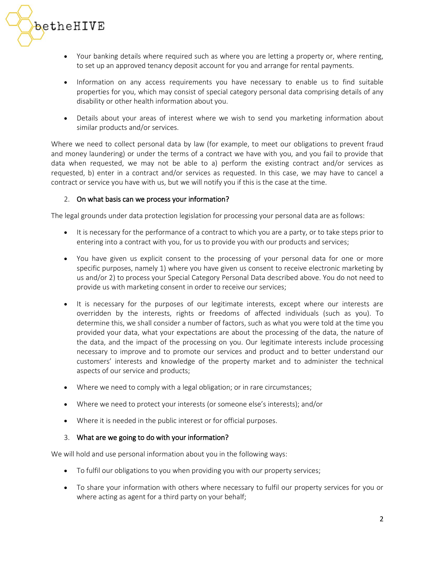

- Your banking details where required such as where you are letting a property or, where renting, to set up an approved tenancy deposit account for you and arrange for rental payments.
- Information on any access requirements you have necessary to enable us to find suitable properties for you, which may consist of special category personal data comprising details of any disability or other health information about you.
- Details about your areas of interest where we wish to send you marketing information about similar products and/or services.

Where we need to collect personal data by law (for example, to meet our obligations to prevent fraud and money laundering) or under the terms of a contract we have with you, and you fail to provide that data when requested, we may not be able to a) perform the existing contract and/or services as requested, b) enter in a contract and/or services as requested. In this case, we may have to cancel a contract or service you have with us, but we will notify you if this is the case at the time.

# 2. On what basis can we process your information?

The legal grounds under data protection legislation for processing your personal data are as follows:

- It is necessary for the performance of a contract to which you are a party, or to take steps prior to entering into a contract with you, for us to provide you with our products and services;
- You have given us explicit consent to the processing of your personal data for one or more specific purposes, namely 1) where you have given us consent to receive electronic marketing by us and/or 2) to process your Special Category Personal Data described above. You do not need to provide us with marketing consent in order to receive our services;
- It is necessary for the purposes of our legitimate interests, except where our interests are overridden by the interests, rights or freedoms of affected individuals (such as you). To determine this, we shall consider a number of factors, such as what you were told at the time you provided your data, what your expectations are about the processing of the data, the nature of the data, and the impact of the processing on you. Our legitimate interests include processing necessary to improve and to promote our services and product and to better understand our customers' interests and knowledge of the property market and to administer the technical aspects of our service and products;
- Where we need to comply with a legal obligation; or in rare circumstances;
- Where we need to protect your interests (or someone else's interests); and/or
- Where it is needed in the public interest or for official purposes.

#### 3. What are we going to do with your information?

We will hold and use personal information about you in the following ways:

- To fulfil our obligations to you when providing you with our property services;
- To share your information with others where necessary to fulfil our property services for you or where acting as agent for a third party on your behalf;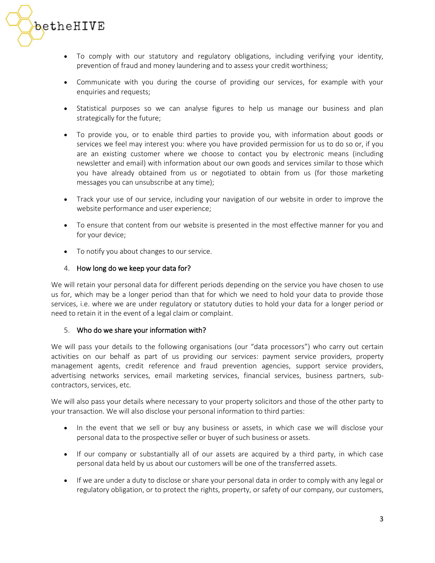

- To comply with our statutory and regulatory obligations, including verifying your identity, prevention of fraud and money laundering and to assess your credit worthiness;
- Communicate with you during the course of providing our services, for example with your enquiries and requests;
- Statistical purposes so we can analyse figures to help us manage our business and plan strategically for the future;
- To provide you, or to enable third parties to provide you, with information about goods or services we feel may interest you: where you have provided permission for us to do so or, if you are an existing customer where we choose to contact you by electronic means (including newsletter and email) with information about our own goods and services similar to those which you have already obtained from us or negotiated to obtain from us (for those marketing messages you can unsubscribe at any time);
- Track your use of our service, including your navigation of our website in order to improve the website performance and user experience;
- To ensure that content from our website is presented in the most effective manner for you and for your device;
- To notify you about changes to our service.

## 4. How long do we keep your data for?

We will retain your personal data for different periods depending on the service you have chosen to use us for, which may be a longer period than that for which we need to hold your data to provide those services, i.e. where we are under regulatory or statutory duties to hold your data for a longer period or need to retain it in the event of a legal claim or complaint.

#### 5. Who do we share your information with?

We will pass your details to the following organisations (our "data processors") who carry out certain activities on our behalf as part of us providing our services: payment service providers, property management agents, credit reference and fraud prevention agencies, support service providers, advertising networks services, email marketing services, financial services, business partners, subcontractors, services, etc.

We will also pass your details where necessary to your property solicitors and those of the other party to your transaction. We will also disclose your personal information to third parties:

- In the event that we sell or buy any business or assets, in which case we will disclose your personal data to the prospective seller or buyer of such business or assets.
- If our company or substantially all of our assets are acquired by a third party, in which case personal data held by us about our customers will be one of the transferred assets.
- If we are under a duty to disclose or share your personal data in order to comply with any legal or regulatory obligation, or to protect the rights, property, or safety of our company, our customers,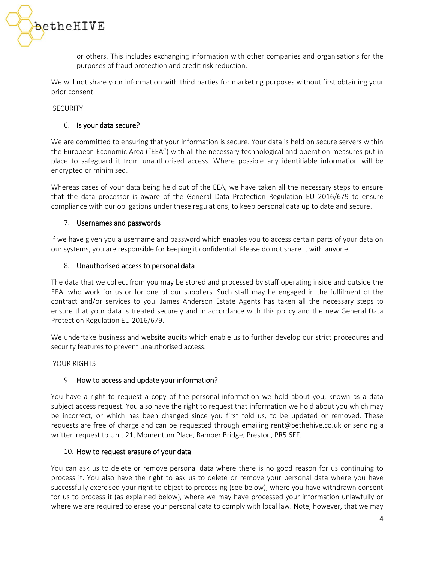

or others. This includes exchanging information with other companies and organisations for the purposes of fraud protection and credit risk reduction.

We will not share your information with third parties for marketing purposes without first obtaining your prior consent.

**SECURITY** 

#### 6. Is your data secure?

We are committed to ensuring that your information is secure. Your data is held on secure servers within the European Economic Area ("EEA") with all the necessary technological and operation measures put in place to safeguard it from unauthorised access. Where possible any identifiable information will be encrypted or minimised.

Whereas cases of your data being held out of the EEA, we have taken all the necessary steps to ensure that the data processor is aware of the General Data Protection Regulation EU 2016/679 to ensure compliance with our obligations under these regulations, to keep personal data up to date and secure.

#### 7. Usernames and passwords

If we have given you a username and password which enables you to access certain parts of your data on our systems, you are responsible for keeping it confidential. Please do not share it with anyone.

#### 8. Unauthorised access to personal data

The data that we collect from you may be stored and processed by staff operating inside and outside the EEA, who work for us or for one of our suppliers. Such staff may be engaged in the fulfilment of the contract and/or services to you. James Anderson Estate Agents has taken all the necessary steps to ensure that your data is treated securely and in accordance with this policy and the new General Data Protection Regulation EU 2016/679.

We undertake business and website audits which enable us to further develop our strict procedures and security features to prevent unauthorised access.

YOUR RIGHTS

#### 9. How to access and update your information?

You have a right to request a copy of the personal information we hold about you, known as a data subject access request. You also have the right to request that information we hold about you which may be incorrect, or which has been changed since you first told us, to be updated or removed. These requests are free of charge and can be requested through emailing [rent@bethehive.co.uk](mailto:rent@bethehive.co.uk) or sending a written request to Unit 21, Momentum Place, Bamber Bridge, Preston, PR5 6EF.

#### 10. How to request erasure of your data

You can ask us to delete or remove personal data where there is no good reason for us continuing to process it. You also have the right to ask us to delete or remove your personal data where you have successfully exercised your right to object to processing (see below), where you have withdrawn consent for us to process it (as explained below), where we may have processed your information unlawfully or where we are required to erase your personal data to comply with local law. Note, however, that we may